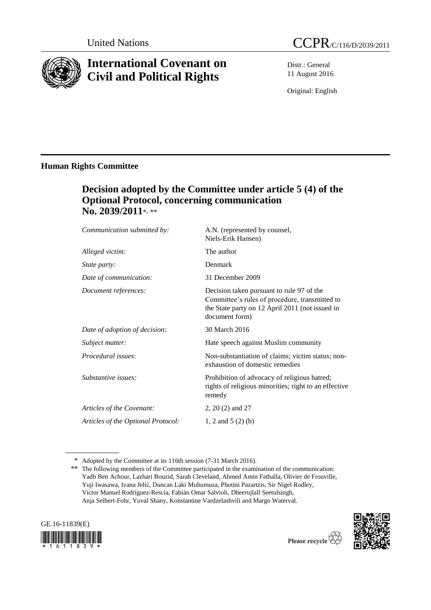

# **International Covenant on Civil and Political Rights**

Distr.: General 11 August 2016

Original: English

# **Human Rights Committee**

# **Decision adopted by the Committee under article 5 (4) of the Optional Protocol, concerning communication No. 2039/2011**\*, \*\*

| Communication submitted by:        | A.N. (represented by counsel,<br>Niels-Erik Hansen)                                                                                                              |
|------------------------------------|------------------------------------------------------------------------------------------------------------------------------------------------------------------|
| Alleged victim:                    | The author                                                                                                                                                       |
| <i>State party:</i>                | Denmark                                                                                                                                                          |
| Date of communication:             | 31 December 2009                                                                                                                                                 |
| Document references:               | Decision taken pursuant to rule 97 of the<br>Committee's rules of procedure, transmitted to<br>the State party on 12 April 2011 (not issued in<br>document form) |
| Date of adoption of decision:      | 30 March 2016                                                                                                                                                    |
| Subject matter:                    | Hate speech against Muslim community                                                                                                                             |
| <i>Procedural issues:</i>          | Non-substantiation of claims; victim status; non-<br>exhaustion of domestic remedies                                                                             |
| Substantive issues:                | Prohibition of advocacy of religious hatred;<br>rights of religious minorities; right to an effective<br>remedy                                                  |
| Articles of the Covenant:          | 2, 20 (2) and 27                                                                                                                                                 |
| Articles of the Optional Protocol: | 1, 2 and 5 $(2)$ (b)                                                                                                                                             |

<sup>\*</sup> Adopted by the Committee at its 116th session (7-31 March 2016).

<sup>\*\*</sup> The following members of the Committee participated in the examination of the communication: Yadh Ben Achour, Lazhari Bouzid, Sarah Cleveland, Ahmed Amin Fathalla, Olivier de Frouville, Yuji Iwasawa, Ivana Jelić, Duncan Laki Muhumuza, Photini Pazartzis, Sir Nigel Rodley, Víctor Manuel Rodríguez-Rescia, Fabián Omar Salvioli, Dheerujlall Seetulsingh, Anja Seibert-Fohr, Yuval Shany, Konstantine Vardzelashvili and Margo Waterval.



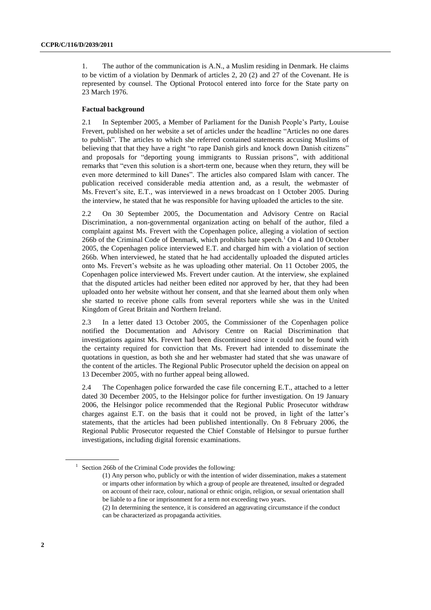1. The author of the communication is A.N., a Muslim residing in Denmark. He claims to be victim of a violation by Denmark of articles 2, 20 (2) and 27 of the Covenant. He is represented by counsel. The Optional Protocol entered into force for the State party on 23 March 1976.

#### **Factual background**

2.1 In September 2005, a Member of Parliament for the Danish People's Party, Louise Frevert, published on her website a set of articles under the headline "Articles no one dares to publish". The articles to which she referred contained statements accusing Muslims of believing that that they have a right "to rape Danish girls and knock down Danish citizens" and proposals for "deporting young immigrants to Russian prisons", with additional remarks that "even this solution is a short-term one, because when they return, they will be even more determined to kill Danes". The articles also compared Islam with cancer. The publication received considerable media attention and, as a result, the webmaster of Ms. Frevert's site, E.T., was interviewed in a news broadcast on 1 October 2005. During the interview, he stated that he was responsible for having uploaded the articles to the site.

2.2 On 30 September 2005, the Documentation and Advisory Centre on Racial Discrimination, a non-governmental organization acting on behalf of the author, filed a complaint against Ms. Frevert with the Copenhagen police, alleging a violation of section 266b of the Criminal Code of Denmark, which prohibits hate speech. <sup>1</sup> On 4 and 10 October 2005, the Copenhagen police interviewed E.T. and charged him with a violation of section 266b. When interviewed, he stated that he had accidentally uploaded the disputed articles onto Ms. Frevert's website as he was uploading other material. On 11 October 2005, the Copenhagen police interviewed Ms. Frevert under caution. At the interview, she explained that the disputed articles had neither been edited nor approved by her, that they had been uploaded onto her website without her consent, and that she learned about them only when she started to receive phone calls from several reporters while she was in the United Kingdom of Great Britain and Northern Ireland.

2.3 In a letter dated 13 October 2005, the Commissioner of the Copenhagen police notified the Documentation and Advisory Centre on Racial Discrimination that investigations against Ms. Frevert had been discontinued since it could not be found with the certainty required for conviction that Ms. Frevert had intended to disseminate the quotations in question, as both she and her webmaster had stated that she was unaware of the content of the articles. The Regional Public Prosecutor upheld the decision on appeal on 13 December 2005, with no further appeal being allowed.

2.4 The Copenhagen police forwarded the case file concerning E.T., attached to a letter dated 30 December 2005, to the Helsingor police for further investigation. On 19 January 2006, the Helsingor police recommended that the Regional Public Prosecutor withdraw charges against E.T. on the basis that it could not be proved, in light of the latter's statements, that the articles had been published intentionally. On 8 February 2006, the Regional Public Prosecutor requested the Chief Constable of Helsingor to pursue further investigations, including digital forensic examinations.

<sup>&</sup>lt;sup>1</sup> Section 266b of the Criminal Code provides the following:

<sup>(1)</sup> Any person who, publicly or with the intention of wider dissemination, makes a statement or imparts other information by which a group of people are threatened, insulted or degraded on account of their race, colour, national or ethnic origin, religion, or sexual orientation shall be liable to a fine or imprisonment for a term not exceeding two years.

<sup>(2)</sup> In determining the sentence, it is considered an aggravating circumstance if the conduct can be characterized as propaganda activities.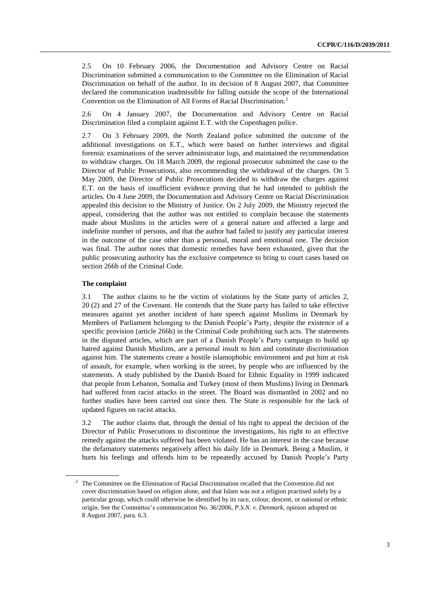2.5 On 10 February 2006, the Documentation and Advisory Centre on Racial Discrimination submitted a communication to the Committee on the Elimination of Racial Discrimination on behalf of the author. In its decision of 8 August 2007, that Committee declared the communication inadmissible for falling outside the scope of the International Convention on the Elimination of All Forms of Racial Discrimination.<sup>2</sup>

2.6 On 4 January 2007, the Documentation and Advisory Centre on Racial Discrimination filed a complaint against E.T. with the Copenhagen police.

2.7 On 3 February 2009, the North Zealand police submitted the outcome of the additional investigations on E.T., which were based on further interviews and digital forensic examinations of the server administrator logs, and maintained the recommendation to withdraw charges. On 18 March 2009, the regional prosecutor submitted the case to the Director of Public Prosecutions, also recommending the withdrawal of the charges. On 5 May 2009, the Director of Public Prosecutions decided to withdraw the charges against E.T. on the basis of insufficient evidence proving that he had intended to publish the articles. On 4 June 2009, the Documentation and Advisory Centre on Racial Discrimination appealed this decision to the Ministry of Justice. On 2 July 2009, the Ministry rejected the appeal, considering that the author was not entitled to complain because the statements made about Muslims in the articles were of a general nature and affected a large and indefinite number of persons, and that the author had failed to justify any particular interest in the outcome of the case other than a personal, moral and emotional one. The decision was final. The author notes that domestic remedies have been exhausted, given that the public prosecuting authority has the exclusive competence to bring to court cases based on section 266b of the Criminal Code.

# **The complaint**

3.1 The author claims to be the victim of violations by the State party of articles 2, 20 (2) and 27 of the Covenant. He contends that the State party has failed to take effective measures against yet another incident of hate speech against Muslims in Denmark by Members of Parliament belonging to the Danish People's Party, despite the existence of a specific provision (article 266b) in the Criminal Code prohibiting such acts. The statements in the disputed articles, which are part of a Danish People's Party campaign to build up hatred against Danish Muslims, are a personal insult to him and constitute discrimination against him. The statements create a hostile islamophobic environment and put him at risk of assault, for example, when working in the street, by people who are influenced by the statements. A study published by the Danish Board for Ethnic Equality in 1999 indicated that people from Lebanon, Somalia and Turkey (most of them Muslims) living in Denmark had suffered from racist attacks in the street. The Board was dismantled in 2002 and no further studies have been carried out since then. The State is responsible for the lack of updated figures on racist attacks.

3.2 The author claims that, through the denial of his right to appeal the decision of the Director of Public Prosecutions to discontinue the investigations, his right to an effective remedy against the attacks suffered has been violated. He has an interest in the case because the defamatory statements negatively affect his daily life in Denmark. Being a Muslim, it hurts his feelings and offends him to be repeatedly accused by Danish People's Party

<sup>&</sup>lt;sup>2</sup> The Committee on the Elimination of Racial Discrimination recalled that the Convention did not cover discrimination based on religion alone, and that Islam was not a religion practised solely by a particular group, which could otherwise be identified by its race, colour, descent, or national or ethnic origin. See the Committee's communication No. 36/2006, *P.S.N. v. Denmark*, opinion adopted on 8 August 2007, para. 6.3.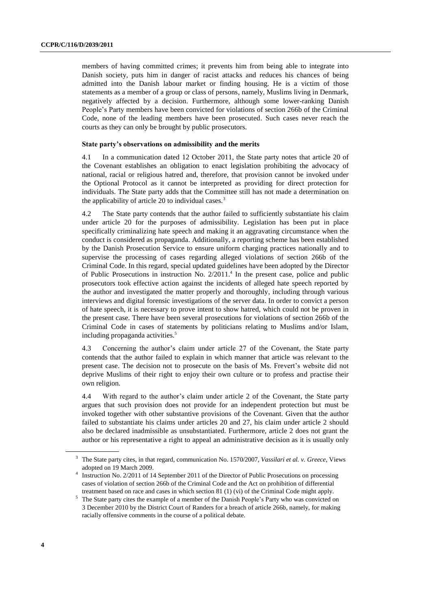members of having committed crimes; it prevents him from being able to integrate into Danish society, puts him in danger of racist attacks and reduces his chances of being admitted into the Danish labour market or finding housing. He is a victim of those statements as a member of a group or class of persons, namely, Muslims living in Denmark, negatively affected by a decision. Furthermore, although some lower-ranking Danish People's Party members have been convicted for violations of section 266b of the Criminal Code, none of the leading members have been prosecuted. Such cases never reach the courts as they can only be brought by public prosecutors.

### **State party's observations on admissibility and the merits**

4.1 In a communication dated 12 October 2011, the State party notes that article 20 of the Covenant establishes an obligation to enact legislation prohibiting the advocacy of national, racial or religious hatred and, therefore, that provision cannot be invoked under the Optional Protocol as it cannot be interpreted as providing for direct protection for individuals. The State party adds that the Committee still has not made a determination on the applicability of article 20 to individual cases. $3$ 

4.2 The State party contends that the author failed to sufficiently substantiate his claim under article 20 for the purposes of admissibility. Legislation has been put in place specifically criminalizing hate speech and making it an aggravating circumstance when the conduct is considered as propaganda. Additionally, a reporting scheme has been established by the Danish Prosecution Service to ensure uniform charging practices nationally and to supervise the processing of cases regarding alleged violations of section 266b of the Criminal Code. In this regard, special updated guidelines have been adopted by the Director of Public Prosecutions in instruction No. 2/2011. 4 In the present case, police and public prosecutors took effective action against the incidents of alleged hate speech reported by the author and investigated the matter properly and thoroughly, including through various interviews and digital forensic investigations of the server data. In order to convict a person of hate speech, it is necessary to prove intent to show hatred, which could not be proven in the present case. There have been several prosecutions for violations of section 266b of the Criminal Code in cases of statements by politicians relating to Muslims and/or Islam, including propaganda activities.<sup>5</sup>

4.3 Concerning the author's claim under article 27 of the Covenant, the State party contends that the author failed to explain in which manner that article was relevant to the present case. The decision not to prosecute on the basis of Ms. Frevert's website did not deprive Muslims of their right to enjoy their own culture or to profess and practise their own religion.

4.4 With regard to the author's claim under article 2 of the Covenant, the State party argues that such provision does not provide for an independent protection but must be invoked together with other substantive provisions of the Covenant. Given that the author failed to substantiate his claims under articles 20 and 27, his claim under article 2 should also be declared inadmissible as unsubstantiated. Furthermore, article 2 does not grant the author or his representative a right to appeal an administrative decision as it is usually only

<sup>3</sup> The State party cites, in that regard, communication No. 1570/2007, *Vassilari et al. v. Greece*, Views adopted on 19 March 2009.

<sup>4</sup> Instruction No. 2/2011 of 14 September 2011 of the Director of Public Prosecutions on processing cases of violation of section 266b of the Criminal Code and the Act on prohibition of differential treatment based on race and cases in which section 81 (1) (vi) of the Criminal Code might apply.

 $5$  The State party cites the example of a member of the Danish People's Party who was convicted on 3 December 2010 by the District Court of Randers for a breach of article 266b, namely, for making racially offensive comments in the course of a political debate.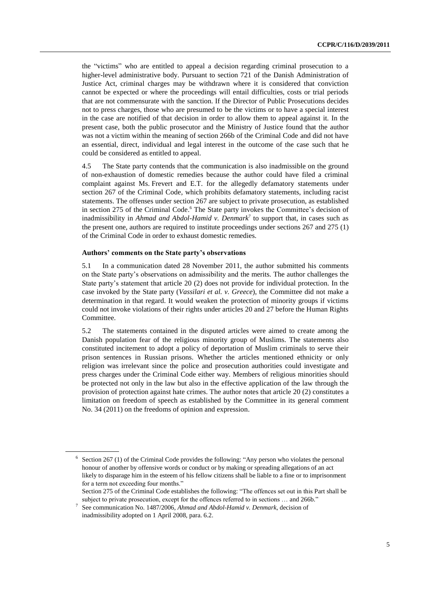the "victims" who are entitled to appeal a decision regarding criminal prosecution to a higher-level administrative body. Pursuant to section 721 of the Danish Administration of Justice Act, criminal charges may be withdrawn where it is considered that conviction cannot be expected or where the proceedings will entail difficulties, costs or trial periods that are not commensurate with the sanction. If the Director of Public Prosecutions decides not to press charges, those who are presumed to be the victims or to have a special interest in the case are notified of that decision in order to allow them to appeal against it. In the present case, both the public prosecutor and the Ministry of Justice found that the author was not a victim within the meaning of section 266b of the Criminal Code and did not have an essential, direct, individual and legal interest in the outcome of the case such that he could be considered as entitled to appeal.

4.5 The State party contends that the communication is also inadmissible on the ground of non-exhaustion of domestic remedies because the author could have filed a criminal complaint against Ms. Frevert and E.T. for the allegedly defamatory statements under section 267 of the Criminal Code, which prohibits defamatory statements, including racist statements. The offenses under section 267 are subject to private prosecution, as established in section 275 of the Criminal Code. <sup>6</sup> The State party invokes the Committee's decision of inadmissibility in *Ahmad and Abdol-Hamid v. Denmark*<sup>7</sup> to support that, in cases such as the present one, authors are required to institute proceedings under sections 267 and 275 (1) of the Criminal Code in order to exhaust domestic remedies.

### **Authors' comments on the State party's observations**

5.1 In a communication dated 28 November 2011, the author submitted his comments on the State party's observations on admissibility and the merits. The author challenges the State party's statement that article 20 (2) does not provide for individual protection. In the case invoked by the State party (*Vassilari et al. v. Greece*), the Committee did not make a determination in that regard. It would weaken the protection of minority groups if victims could not invoke violations of their rights under articles 20 and 27 before the Human Rights Committee.

5.2 The statements contained in the disputed articles were aimed to create among the Danish population fear of the religious minority group of Muslims. The statements also constituted incitement to adopt a policy of deportation of Muslim criminals to serve their prison sentences in Russian prisons. Whether the articles mentioned ethnicity or only religion was irrelevant since the police and prosecution authorities could investigate and press charges under the Criminal Code either way. Members of religious minorities should be protected not only in the law but also in the effective application of the law through the provision of protection against hate crimes. The author notes that article 20 (2) constitutes a limitation on freedom of speech as established by the Committee in its general comment No. 34 (2011) on the freedoms of opinion and expression.

<sup>&</sup>lt;sup>6</sup> Section 267 (1) of the Criminal Code provides the following: "Any person who violates the personal honour of another by offensive words or conduct or by making or spreading allegations of an act likely to disparage him in the esteem of his fellow citizens shall be liable to a fine or to imprisonment for a term not exceeding four months."

Section 275 of the Criminal Code establishes the following: "The offences set out in this Part shall be subject to private prosecution, except for the offences referred to in sections … and 266b."

<sup>7</sup> See communication No. 1487/2006, *Ahmad and Abdol-Hamid v. Denmark*, decision of inadmissibility adopted on 1 April 2008, para. 6.2.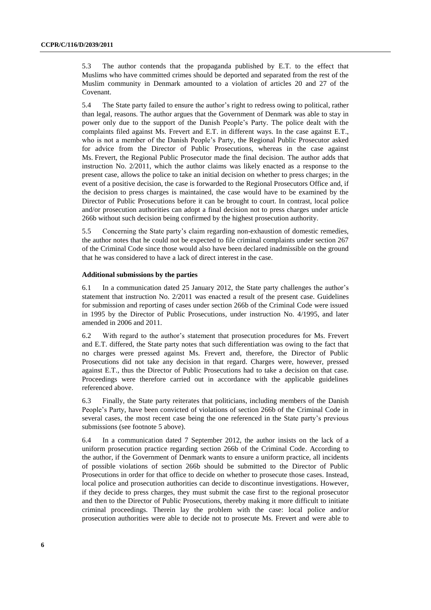5.3 The author contends that the propaganda published by E.T. to the effect that Muslims who have committed crimes should be deported and separated from the rest of the Muslim community in Denmark amounted to a violation of articles 20 and 27 of the Covenant.

5.4 The State party failed to ensure the author's right to redress owing to political, rather than legal, reasons. The author argues that the Government of Denmark was able to stay in power only due to the support of the Danish People's Party. The police dealt with the complaints filed against Ms. Frevert and E.T. in different ways. In the case against E.T., who is not a member of the Danish People's Party, the Regional Public Prosecutor asked for advice from the Director of Public Prosecutions, whereas in the case against Ms. Frevert, the Regional Public Prosecutor made the final decision. The author adds that instruction No. 2/2011, which the author claims was likely enacted as a response to the present case, allows the police to take an initial decision on whether to press charges; in the event of a positive decision, the case is forwarded to the Regional Prosecutors Office and, if the decision to press charges is maintained, the case would have to be examined by the Director of Public Prosecutions before it can be brought to court. In contrast, local police and/or prosecution authorities can adopt a final decision not to press charges under article 266b without such decision being confirmed by the highest prosecution authority.

5.5 Concerning the State party's claim regarding non-exhaustion of domestic remedies, the author notes that he could not be expected to file criminal complaints under section 267 of the Criminal Code since those would also have been declared inadmissible on the ground that he was considered to have a lack of direct interest in the case.

## **Additional submissions by the parties**

6.1 In a communication dated 25 January 2012, the State party challenges the author's statement that instruction No. 2/2011 was enacted a result of the present case. Guidelines for submission and reporting of cases under section 266b of the Criminal Code were issued in 1995 by the Director of Public Prosecutions, under instruction No. 4/1995, and later amended in 2006 and 2011.

6.2 With regard to the author's statement that prosecution procedures for Ms. Frevert and E.T. differed, the State party notes that such differentiation was owing to the fact that no charges were pressed against Ms. Frevert and, therefore, the Director of Public Prosecutions did not take any decision in that regard. Charges were, however, pressed against E.T., thus the Director of Public Prosecutions had to take a decision on that case. Proceedings were therefore carried out in accordance with the applicable guidelines referenced above.

6.3 Finally, the State party reiterates that politicians, including members of the Danish People's Party, have been convicted of violations of section 266b of the Criminal Code in several cases, the most recent case being the one referenced in the State party's previous submissions (see footnote 5 above).

6.4 In a communication dated 7 September 2012, the author insists on the lack of a uniform prosecution practice regarding section 266b of the Criminal Code. According to the author, if the Government of Denmark wants to ensure a uniform practice, all incidents of possible violations of section 266b should be submitted to the Director of Public Prosecutions in order for that office to decide on whether to prosecute those cases. Instead, local police and prosecution authorities can decide to discontinue investigations. However, if they decide to press charges, they must submit the case first to the regional prosecutor and then to the Director of Public Prosecutions, thereby making it more difficult to initiate criminal proceedings. Therein lay the problem with the case: local police and/or prosecution authorities were able to decide not to prosecute Ms. Frevert and were able to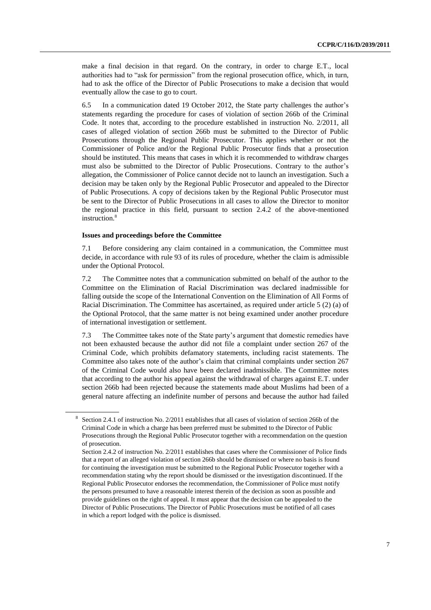make a final decision in that regard. On the contrary, in order to charge E.T., local authorities had to "ask for permission" from the regional prosecution office, which, in turn, had to ask the office of the Director of Public Prosecutions to make a decision that would eventually allow the case to go to court.

6.5 In a communication dated 19 October 2012, the State party challenges the author's statements regarding the procedure for cases of violation of section 266b of the Criminal Code. It notes that, according to the procedure established in instruction No. 2/2011, all cases of alleged violation of section 266b must be submitted to the Director of Public Prosecutions through the Regional Public Prosecutor. This applies whether or not the Commissioner of Police and/or the Regional Public Prosecutor finds that a prosecution should be instituted. This means that cases in which it is recommended to withdraw charges must also be submitted to the Director of Public Prosecutions. Contrary to the author's allegation, the Commissioner of Police cannot decide not to launch an investigation. Such a decision may be taken only by the Regional Public Prosecutor and appealed to the Director of Public Prosecutions. A copy of decisions taken by the Regional Public Prosecutor must be sent to the Director of Public Prosecutions in all cases to allow the Director to monitor the regional practice in this field, pursuant to section 2.4.2 of the above-mentioned instruction.<sup>8</sup>

#### **Issues and proceedings before the Committee**

7.1 Before considering any claim contained in a communication, the Committee must decide, in accordance with rule 93 of its rules of procedure, whether the claim is admissible under the Optional Protocol.

7.2 The Committee notes that a communication submitted on behalf of the author to the Committee on the Elimination of Racial Discrimination was declared inadmissible for falling outside the scope of the International Convention on the Elimination of All Forms of Racial Discrimination. The Committee has ascertained, as required under article 5 (2) (a) of the Optional Protocol, that the same matter is not being examined under another procedure of international investigation or settlement.

7.3 The Committee takes note of the State party's argument that domestic remedies have not been exhausted because the author did not file a complaint under section 267 of the Criminal Code, which prohibits defamatory statements, including racist statements. The Committee also takes note of the author's claim that criminal complaints under section 267 of the Criminal Code would also have been declared inadmissible. The Committee notes that according to the author his appeal against the withdrawal of charges against E.T. under section 266b had been rejected because the statements made about Muslims had been of a general nature affecting an indefinite number of persons and because the author had failed

<sup>8</sup> Section 2.4.1 of instruction No. 2/2011 establishes that all cases of violation of section 266b of the Criminal Code in which a charge has been preferred must be submitted to the Director of Public Prosecutions through the Regional Public Prosecutor together with a recommendation on the question of prosecution.

Section 2.4.2 of instruction No. 2/2011 establishes that cases where the Commissioner of Police finds that a report of an alleged violation of section 266b should be dismissed or where no basis is found for continuing the investigation must be submitted to the Regional Public Prosecutor together with a recommendation stating why the report should be dismissed or the investigation discontinued. If the Regional Public Prosecutor endorses the recommendation, the Commissioner of Police must notify the persons presumed to have a reasonable interest therein of the decision as soon as possible and provide guidelines on the right of appeal. It must appear that the decision can be appealed to the Director of Public Prosecutions. The Director of Public Prosecutions must be notified of all cases in which a report lodged with the police is dismissed.